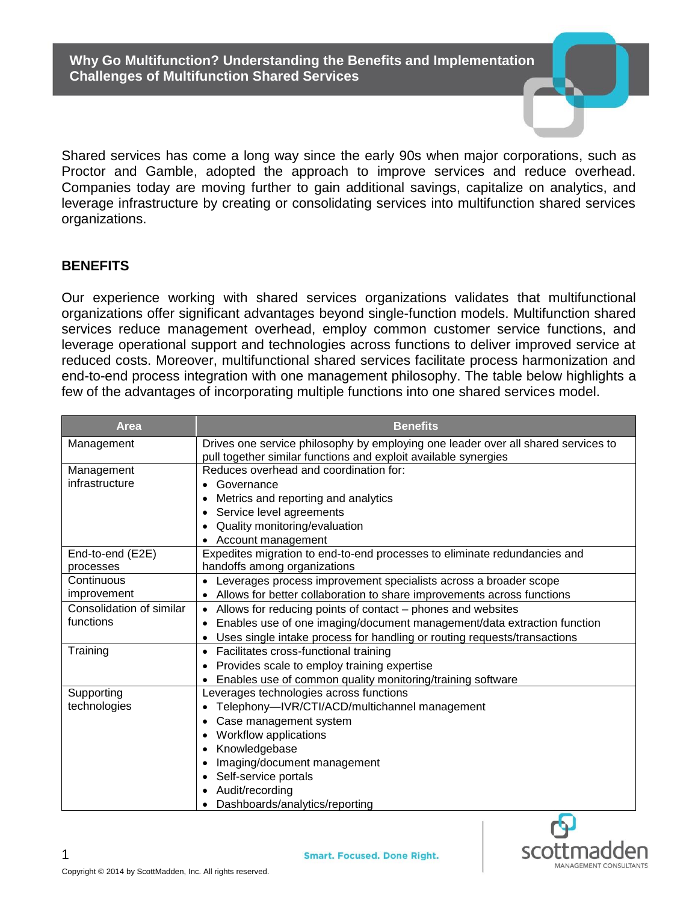**Why Go Multifunction? Understanding the Benefits and Implementation Challenges of Multifunction Shared Services**

Shared services has come a long way since the early 90s when major corporations, such as Proctor and Gamble, adopted the approach to improve services and reduce overhead. Companies today are moving further to gain additional savings, capitalize on analytics, and leverage infrastructure by creating or consolidating services into multifunction shared services organizations.

#### **BENEFITS**

Our experience working with shared services organizations validates that multifunctional organizations offer significant advantages beyond single-function models. Multifunction shared services reduce management overhead, employ common customer service functions, and leverage operational support and technologies across functions to deliver improved service at reduced costs. Moreover, multifunctional shared services facilitate process harmonization and end-to-end process integration with one management philosophy. The table below highlights a few of the advantages of incorporating multiple functions into one shared services model.

| Area                     | <b>Benefits</b>                                                                      |  |  |  |  |  |  |
|--------------------------|--------------------------------------------------------------------------------------|--|--|--|--|--|--|
| Management               | Drives one service philosophy by employing one leader over all shared services to    |  |  |  |  |  |  |
|                          | pull together similar functions and exploit available synergies                      |  |  |  |  |  |  |
| Management               | Reduces overhead and coordination for:                                               |  |  |  |  |  |  |
| infrastructure           | Governance                                                                           |  |  |  |  |  |  |
|                          | Metrics and reporting and analytics                                                  |  |  |  |  |  |  |
|                          | Service level agreements<br>$\bullet$                                                |  |  |  |  |  |  |
|                          | Quality monitoring/evaluation                                                        |  |  |  |  |  |  |
|                          | Account management                                                                   |  |  |  |  |  |  |
| End-to-end (E2E)         | Expedites migration to end-to-end processes to eliminate redundancies and            |  |  |  |  |  |  |
| processes                | handoffs among organizations                                                         |  |  |  |  |  |  |
| Continuous               | Leverages process improvement specialists across a broader scope                     |  |  |  |  |  |  |
| improvement              | Allows for better collaboration to share improvements across functions               |  |  |  |  |  |  |
| Consolidation of similar | Allows for reducing points of contact - phones and websites<br>$\bullet$             |  |  |  |  |  |  |
| functions                | Enables use of one imaging/document management/data extraction function<br>$\bullet$ |  |  |  |  |  |  |
|                          | Uses single intake process for handling or routing requests/transactions             |  |  |  |  |  |  |
| Training                 | Facilitates cross-functional training<br>$\bullet$                                   |  |  |  |  |  |  |
|                          | Provides scale to employ training expertise                                          |  |  |  |  |  |  |
|                          | Enables use of common quality monitoring/training software                           |  |  |  |  |  |  |
| Supporting               | Leverages technologies across functions                                              |  |  |  |  |  |  |
| technologies             | Telephony--IVR/CTI/ACD/multichannel management                                       |  |  |  |  |  |  |
|                          | Case management system<br>٠                                                          |  |  |  |  |  |  |
|                          | Workflow applications                                                                |  |  |  |  |  |  |
|                          | Knowledgebase                                                                        |  |  |  |  |  |  |
|                          | Imaging/document management                                                          |  |  |  |  |  |  |
|                          | Self-service portals                                                                 |  |  |  |  |  |  |
|                          | Audit/recording                                                                      |  |  |  |  |  |  |
|                          | Dashboards/analytics/reporting                                                       |  |  |  |  |  |  |

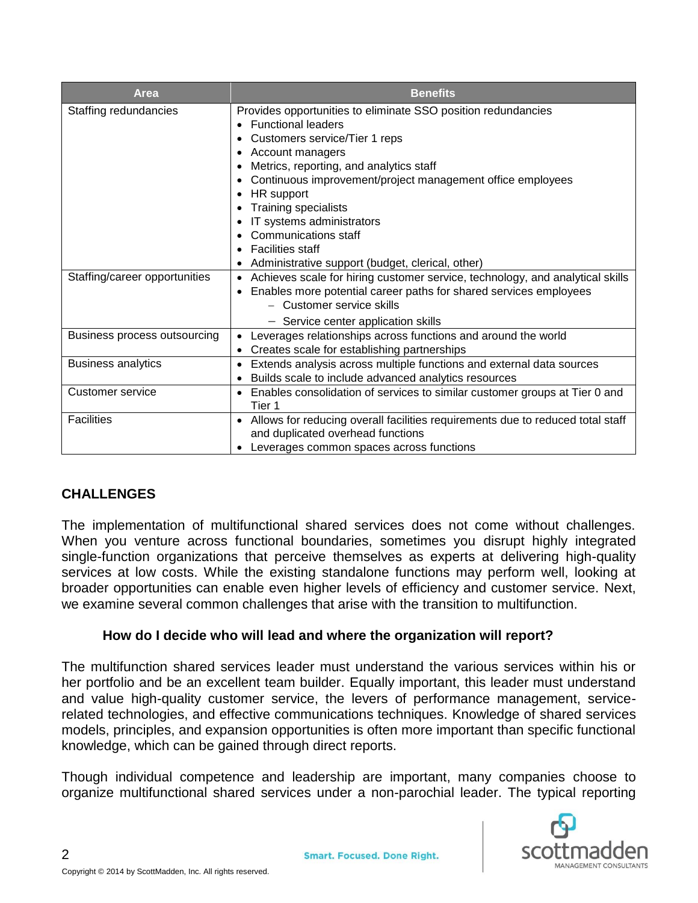| Area                          | <b>Benefits</b>                                                                                   |  |  |  |  |
|-------------------------------|---------------------------------------------------------------------------------------------------|--|--|--|--|
| Staffing redundancies         | Provides opportunities to eliminate SSO position redundancies                                     |  |  |  |  |
|                               | <b>Functional leaders</b>                                                                         |  |  |  |  |
|                               | Customers service/Tier 1 reps                                                                     |  |  |  |  |
|                               | Account managers                                                                                  |  |  |  |  |
|                               | Metrics, reporting, and analytics staff                                                           |  |  |  |  |
|                               | Continuous improvement/project management office employees                                        |  |  |  |  |
|                               | HR support<br>٠                                                                                   |  |  |  |  |
|                               | <b>Training specialists</b>                                                                       |  |  |  |  |
|                               | IT systems administrators                                                                         |  |  |  |  |
|                               | Communications staff                                                                              |  |  |  |  |
|                               | <b>Facilities staff</b>                                                                           |  |  |  |  |
|                               | Administrative support (budget, clerical, other)                                                  |  |  |  |  |
| Staffing/career opportunities | Achieves scale for hiring customer service, technology, and analytical skills<br>$\bullet$        |  |  |  |  |
|                               | Enables more potential career paths for shared services employees<br>٠                            |  |  |  |  |
|                               | - Customer service skills                                                                         |  |  |  |  |
|                               | - Service center application skills                                                               |  |  |  |  |
| Business process outsourcing  | Leverages relationships across functions and around the world                                     |  |  |  |  |
|                               | Creates scale for establishing partnerships<br>$\bullet$                                          |  |  |  |  |
| <b>Business analytics</b>     | Extends analysis across multiple functions and external data sources<br>$\bullet$                 |  |  |  |  |
|                               | Builds scale to include advanced analytics resources<br>$\bullet$                                 |  |  |  |  |
| Customer service              | Enables consolidation of services to similar customer groups at Tier 0 and<br>$\bullet$<br>Tier 1 |  |  |  |  |
| <b>Facilities</b>             | • Allows for reducing overall facilities requirements due to reduced total staff                  |  |  |  |  |
|                               | and duplicated overhead functions                                                                 |  |  |  |  |
|                               | Leverages common spaces across functions                                                          |  |  |  |  |

# **CHALLENGES**

The implementation of multifunctional shared services does not come without challenges. When you venture across functional boundaries, sometimes you disrupt highly integrated single-function organizations that perceive themselves as experts at delivering high-quality services at low costs. While the existing standalone functions may perform well, looking at broader opportunities can enable even higher levels of efficiency and customer service. Next, we examine several common challenges that arise with the transition to multifunction.

## **How do I decide who will lead and where the organization will report?**

The multifunction shared services leader must understand the various services within his or her portfolio and be an excellent team builder. Equally important, this leader must understand and value high-quality customer service, the levers of performance management, servicerelated technologies, and effective communications techniques. Knowledge of shared services models, principles, and expansion opportunities is often more important than specific functional knowledge, which can be gained through direct reports.

Though individual competence and leadership are important, many companies choose to organize multifunctional shared services under a non-parochial leader. The typical reporting



2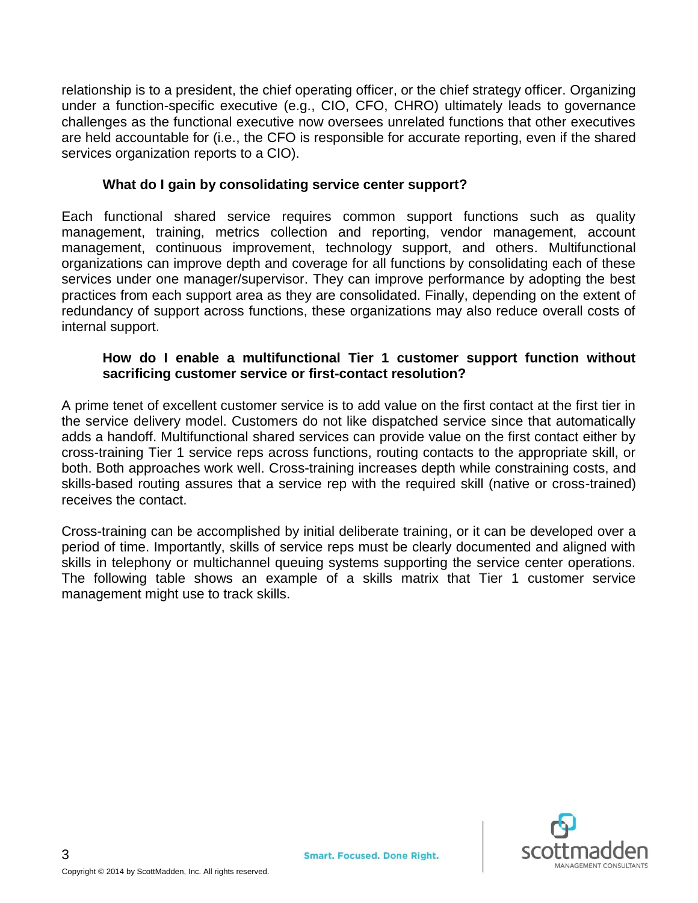relationship is to a president, the chief operating officer, or the chief strategy officer. Organizing under a function-specific executive (e.g., CIO, CFO, CHRO) ultimately leads to governance challenges as the functional executive now oversees unrelated functions that other executives are held accountable for (i.e., the CFO is responsible for accurate reporting, even if the shared services organization reports to a CIO).

### **What do I gain by consolidating service center support?**

Each functional shared service requires common support functions such as quality management, training, metrics collection and reporting, vendor management, account management, continuous improvement, technology support, and others. Multifunctional organizations can improve depth and coverage for all functions by consolidating each of these services under one manager/supervisor. They can improve performance by adopting the best practices from each support area as they are consolidated. Finally, depending on the extent of redundancy of support across functions, these organizations may also reduce overall costs of internal support.

### **How do I enable a multifunctional Tier 1 customer support function without sacrificing customer service or first-contact resolution?**

A prime tenet of excellent customer service is to add value on the first contact at the first tier in the service delivery model. Customers do not like dispatched service since that automatically adds a handoff. Multifunctional shared services can provide value on the first contact either by cross-training Tier 1 service reps across functions, routing contacts to the appropriate skill, or both. Both approaches work well. Cross-training increases depth while constraining costs, and skills-based routing assures that a service rep with the required skill (native or cross-trained) receives the contact.

Cross-training can be accomplished by initial deliberate training, or it can be developed over a period of time. Importantly, skills of service reps must be clearly documented and aligned with skills in telephony or multichannel queuing systems supporting the service center operations. The following table shows an example of a skills matrix that Tier 1 customer service management might use to track skills.

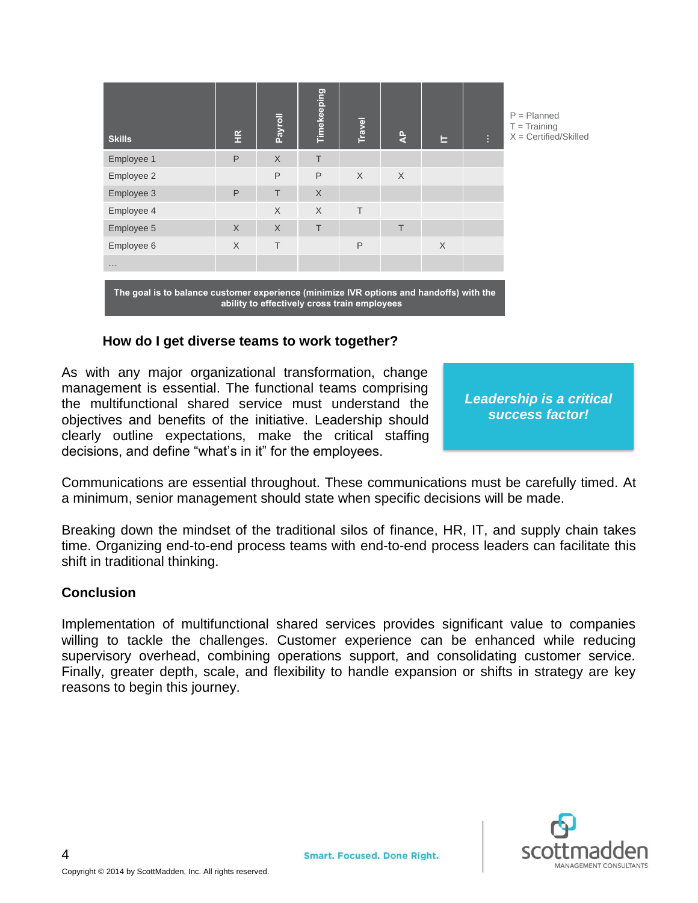| <b>Skills</b>                                                                           | $rac{R}{L}$  | <b>Payroll</b>                               | Timekeeping | Travel | $\frac{a}{4}$ | Е        | Ŧ. | $P =$ Planned<br>$T = Triaining$<br>$X =$ Certified/Skilled |
|-----------------------------------------------------------------------------------------|--------------|----------------------------------------------|-------------|--------|---------------|----------|----|-------------------------------------------------------------|
| Employee 1                                                                              | P            | $\chi$                                       | T           |        |               |          |    |                                                             |
| Employee 2                                                                              |              | P                                            | P           | $\chi$ | $\times$      |          |    |                                                             |
| Employee 3                                                                              | $\mathsf{P}$ | T                                            | $\chi$      |        |               |          |    |                                                             |
| Employee 4                                                                              |              | X                                            | $\chi$      | $\top$ |               |          |    |                                                             |
| Employee 5                                                                              | $\times$     | $\chi$                                       | T           |        | T             |          |    |                                                             |
| Employee 6                                                                              | $\times$     | $\top$                                       |             | P      |               | $\times$ |    |                                                             |
| .                                                                                       |              |                                              |             |        |               |          |    |                                                             |
| The goal is to balance customer experience (minimize IVR options and handoffs) with the |              | ability to effectively cross train employees |             |        |               |          |    |                                                             |

#### **How do I get diverse teams to work together?**

As with any major organizational transformation, change management is essential. The functional teams comprising the multifunctional shared service must understand the objectives and benefits of the initiative. Leadership should clearly outline expectations, make the critical staffing decisions, and define "what's in it" for the employees.

*Leadership is a critical success factor!*

Communications are essential throughout. These communications must be carefully timed. At a minimum, senior management should state when specific decisions will be made.

Breaking down the mindset of the traditional silos of finance, HR, IT, and supply chain takes time. Organizing end-to-end process teams with end-to-end process leaders can facilitate this shift in traditional thinking.

#### **Conclusion**

Implementation of multifunctional shared services provides significant value to companies willing to tackle the challenges. Customer experience can be enhanced while reducing supervisory overhead, combining operations support, and consolidating customer service. Finally, greater depth, scale, and flexibility to handle expansion or shifts in strategy are key reasons to begin this journey.